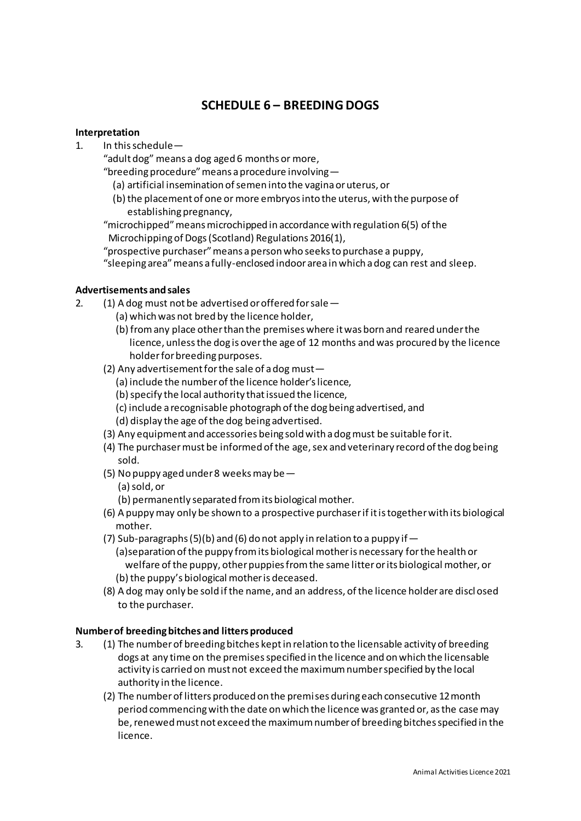# **SCHEDULE 6 – BREEDING DOGS**

#### **Interpretation**

1. In this schedule—

"adult dog" means a dog aged 6 months or more,

"breeding procedure" means a procedure involving—

- (a) artificial insemination of semen into the vagina or uterus, or
- (b) the placement of one or more embryos into the uterus, with the purpose of establishing pregnancy,

"microchipped" means microchipped in accordance with regulation 6(5) of the Microchipping of Dogs (Scotland) Regulations 2016(1),

"prospective purchaser" means a person who seeks to purchase a puppy,

"sleeping area" means a fully-enclosed indoor area in which a dog can rest and sleep.

## **Advertisements and sales**

- 2. (1) A dog must not be advertised or offered for sale—
	- (a) which was not bred by the licence holder,
	- (b) from any place other than the premises where it was born and reared under the licence, unless the dog is over the age of 12 months and was procured by the licence holder for breeding purposes.
	- (2) Any advertisement for the sale of a dog must—
		- (a) include the number of the licence holder's licence,
		- (b) specify the local authority that issued the licence,
		- (c) include a recognisable photograph of the dog being advertised, and
		- (d) display the age of the dog being advertised.
	- (3) Any equipment and accessories being sold with a dog must be suitable for it.
	- (4) The purchaser must be informed of the age, sex and veterinary record of the dog being sold.
	- (5) No puppy aged under 8 weeks may be—
		- (a) sold, or
		- (b) permanently separated from its biological mother.
	- (6) A puppy may only be shown to a prospective purchaser if it is together with its biological mother.
	- (7) Sub-paragraphs (5)(b) and (6) do not apply in relation to a puppy if  $-$  (a)separation of the puppy from its biological mother is necessary for the health or welfare of the puppy, other puppies from the same litter or its biological mother, or (b) the puppy's biological mother is deceased.
	- (8) A dog may only be sold if the name, and an address, of the licence holder are discl osed to the purchaser.

## **Number of breeding bitches and litters produced**

- 3. (1) The number of breeding bitches kept in relation to the licensable activity of breeding dogs at any time on the premises specified in the licence and on which the licensable activity is carried on must not exceed the maximum number specified by the local authority in the licence.
	- (2) The number of litters produced on the premises during each consecutive 12 month period commencing with the date on which the licence was granted or, as the case may be, renewed must not exceed the maximum number of breeding bitches specified in the licence.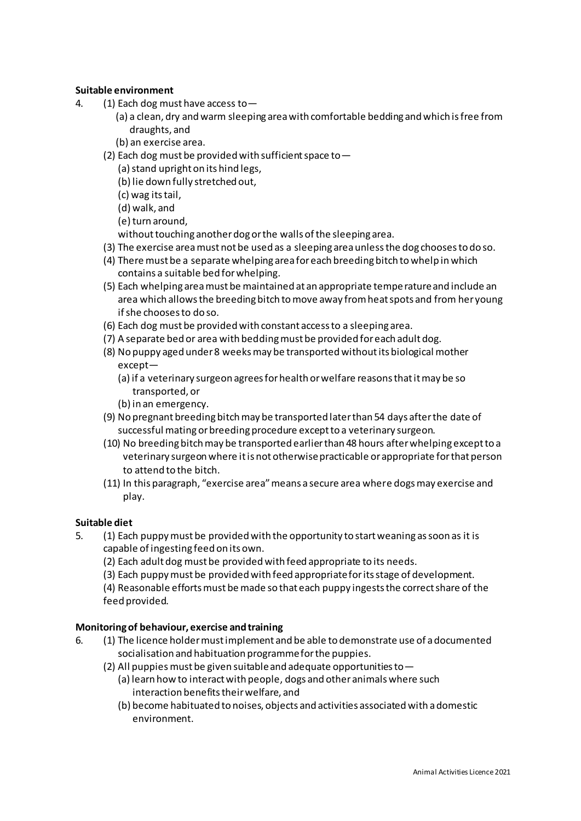## **Suitable environment**

- 4. (1) Each dog must have access to—
	- (a) a clean, dry and warm sleeping area with comfortable bedding and which is free from draughts, and
	- (b) an exercise area.
	- (2) Each dog must be provided with sufficient space to  $-$ 
		- (a) stand upright on its hind legs,
		- (b) lie down fully stretched out,
		- (c) wag its tail,
		- (d) walk, and
		- (e) turn around,
		- without touching another dog or the walls of the sleeping area.
	- (3) The exercise area must not be used as a sleeping area unless the dog chooses to do so.
	- (4) There must be a separate whelping area for each breeding bitch to whelp in which contains a suitable bed for whelping.
	- (5) Each whelping area must be maintained at an appropriate temperature and include an area which allows the breeding bitch to move away from heat spots and from her young if she chooses to do so.
	- (6) Each dog must be provided with constant access to a sleeping area.
	- (7) A separate bed or area with bedding must be provided for each adult dog.
	- (8) No puppy aged under 8 weeks may be transported without its biological mother except—
		- (a) if a veterinary surgeon agrees for health or welfare reasons that it may be so transported, or
		- (b) in an emergency.
	- (9) No pregnant breeding bitch may be transported later than 54 days after the date of successful mating or breeding procedure except to a veterinary surgeon.
	- (10) No breeding bitch may be transported earlier than 48 hours after whelping except to a veterinary surgeon where it is not otherwise practicable or appropriate for that person to attend to the bitch.
	- (11) In this paragraph, "exercise area" means a secure area where dogs may exercise and play.

## **Suitable diet**

- 5. (1) Each puppy must be provided with the opportunity to start weaning as soon as it is capable of ingesting feed on its own.
	- (2) Each adult dog must be provided with feed appropriate to its needs.
	- (3) Each puppy must be provided with feed appropriate for its stage of development.

(4) Reasonable efforts must be made so that each puppy ingests the correct share of the feed provided.

## **Monitoring of behaviour, exercise and training**

- 6. (1) The licence holder must implement and be able to demonstrate use of a documented socialisation and habituation programme for the puppies.
	- (2) All puppies must be given suitable and adequate opportunities to  $-$ 
		- (a) learn how to interact with people, dogs and other animals where such interaction benefits their welfare, and
		- (b) become habituated to noises, objects and activities associated with a domestic environment.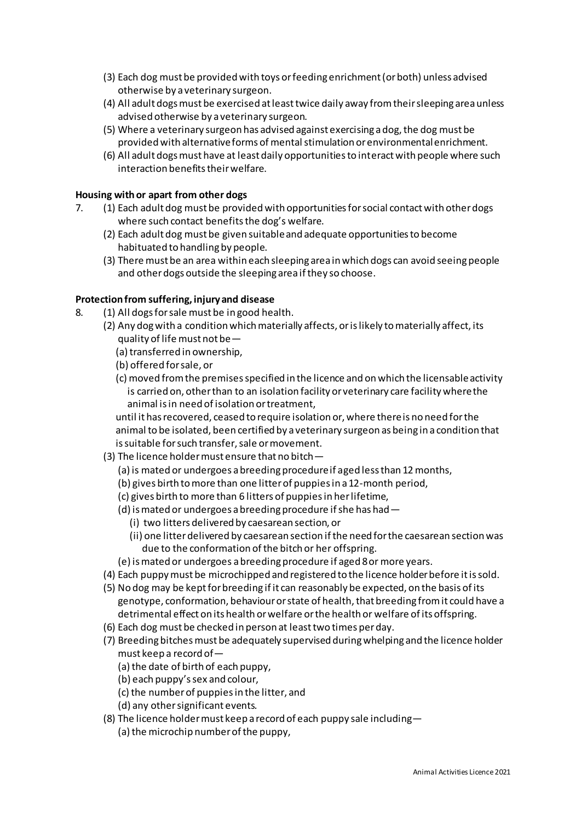- (3) Each dog must be provided with toys or feeding enrichment (or both) unless advised otherwise by a veterinary surgeon.
- (4) All adult dogs must be exercised at least twice daily away from their sleeping area unless advised otherwise by a veterinary surgeon.
- (5) Where a veterinary surgeon has advised against exercising a dog, the dog must be provided with alternative forms of mental stimulation or environmental enrichment.
- (6) All adult dogs must have at least daily opportunities to interact with people where such interaction benefits their welfare.

#### **Housing with or apart from other dogs**

- 7. (1) Each adult dog must be provided with opportunities for social contact with other dogs where such contact benefits the dog's welfare.
	- (2) Each adult dog must be given suitable and adequate opportunities to become habituated to handling by people.
	- (3) There must be an area within each sleeping area in which dogs can avoid seeing people and other dogs outside the sleeping area if they so choose.

#### **Protection from suffering, injury and disease**

- 8. (1) All dogs for sale must be in good health.
	- (2) Any dog with a condition which materially affects, or is likely to materially affect, its quality of life must not be—
		- (a) transferred in ownership,
		- (b) offered for sale, or
		- (c) moved from the premises specified in the licence and on which the licensable activity is carried on, other than to an isolation facility or veterinary care facility where the animal is in need of isolation or treatment,

 until it has recovered, ceased to require isolation or, where there is no need for the animal to be isolated, been certified by a veterinary surgeon as being in a condition that is suitable for such transfer, sale or movement.

- (3) The licence holder must ensure that no bitch—
	- (a) is mated or undergoes a breeding procedure if aged less than 12 months,
	- (b) gives birth to more than one litter of puppies in a 12-month period,
	- (c) gives birth to more than 6 litters of puppies in her lifetime,
	- (d) is mated or undergoes a breeding procedure if she has had—
		- (i) two litters delivered by caesarean section, or
		- (ii) one litter delivered by caesarean section if the need for the caesarean section was due to the conformation of the bitch or her offspring.
	- (e) is mated or undergoes a breeding procedure if aged 8 or more years.
- (4) Each puppy must be microchipped and registered to the licence holder before it is sold.
- (5) No dog may be kept for breeding if it can reasonably be expected, on the basis of its genotype, conformation, behaviour or state of health, that breeding from it could have a detrimental effect on its health or welfare or the health or welfare of its offspring.
- (6) Each dog must be checked in person at least two times per day.
- (7) Breeding bitches must be adequately supervised during whelping and the licence holder must keep a record of—
	- (a) the date of birth of each puppy,
	- (b) each puppy's sex and colour,
	- (c) the number of puppies in the litter, and
	- (d) any other significant events.
- (8) The licence holder must keep a record of each puppy sale including—
	- (a) the microchip number of the puppy,